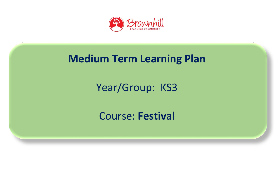

## **Medium Term Learning Plan**

# Year/Group: KS3

#### Course: **Festival**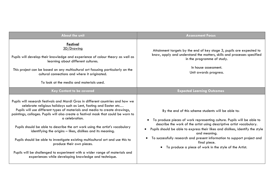| <b>About the unit</b>                                                                                                                                                                                                                                                                                                                                                                                                                                                                                                                                                                                                                                                                                                                            | <b>Assessment Focus</b>                                                                                                                                                                                                                                                                                                                                                                                                                                                  |  |
|--------------------------------------------------------------------------------------------------------------------------------------------------------------------------------------------------------------------------------------------------------------------------------------------------------------------------------------------------------------------------------------------------------------------------------------------------------------------------------------------------------------------------------------------------------------------------------------------------------------------------------------------------------------------------------------------------------------------------------------------------|--------------------------------------------------------------------------------------------------------------------------------------------------------------------------------------------------------------------------------------------------------------------------------------------------------------------------------------------------------------------------------------------------------------------------------------------------------------------------|--|
| Festival<br>3D/Drawing<br>Pupils will develop their knowledge and experience of colour theory as well as<br>learning about different cultures.<br>This project can be based on any multicultural art focusing particularly on the<br>cultural connections and where it originated.<br>To look at the media and materials used.                                                                                                                                                                                                                                                                                                                                                                                                                   | Attainment targets by the end of key stage 3, pupils are expected to<br>know, apply and understand the matters, skills and processes specified<br>in the programme of study.<br>In house assessment.<br>Unit awards progress.                                                                                                                                                                                                                                            |  |
| Key Content to be covered                                                                                                                                                                                                                                                                                                                                                                                                                                                                                                                                                                                                                                                                                                                        | <b>Expected Learning Outcomes</b>                                                                                                                                                                                                                                                                                                                                                                                                                                        |  |
| Pupils will research festivals and Mardi Gras in different countries and how we<br>celebrate religious holidays such as Lent, fasting and Easter etc<br>Pupils will use different types of materials and media to create drawings,<br>paintings, collages. Pupils will also create a festival mask that could be worn to<br>a celebration.<br>Pupils should be able to describe the art work using the artist's vocabulary<br>identifying the origins - likes, dislikes and its meaning.<br>Pupils should be able to investigate existing multicultural art and use this to<br>produce their own pieces.<br>Pupils will be challenged to experiment with a wider range of materials and<br>experiences while developing knowledge and technique. | By the end of this scheme students will be able to:<br>To produce pieces of work representing culture. Pupils will be able to<br>$\bullet$<br>describe the work of the artist using descriptive artist vocabulary.<br>Pupils should be able to express their likes and dislikes, identify the style<br>and meaning.<br>To successfully research and present information to support project and<br>final piece.<br>To produce a piece of work in the style of the Artist. |  |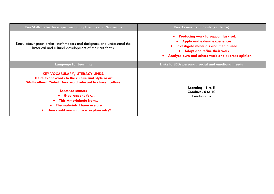| Key Skills to be developed including Literacy and Numeracy                                                                                                                                                                                                                                                                      | <b>Key Assessment Points (evidence)</b>                                                                                                                                                                 |  |
|---------------------------------------------------------------------------------------------------------------------------------------------------------------------------------------------------------------------------------------------------------------------------------------------------------------------------------|---------------------------------------------------------------------------------------------------------------------------------------------------------------------------------------------------------|--|
| Know about great artists, craft makers and designers, and understand the<br>historical and cultural development of their art forms.                                                                                                                                                                                             | • Producing work to support task set.<br>• Apply and extend experiences.<br>Investigate materials and media used.<br>• Adapt and refine their work.<br>Analyse own and others work and express opinion. |  |
| Language for Learning                                                                                                                                                                                                                                                                                                           | Links to EBD/ personal, social and emotional needs                                                                                                                                                      |  |
| <b>KEY VOCABULARY/ LITERACY LINKS.</b><br>Use relevant words to the culture and style or art.<br>*Multicultural *Select. Any word relevant to chosen culture.<br><b>Sentence starters</b><br>• Give reasons for<br>This Art originate from<br>The materials I have use are.<br>How could you improve, explain why?<br>$\bullet$ | Learning - 1 to 5<br>Conduct - 6 to 10<br><b>Emotional -</b>                                                                                                                                            |  |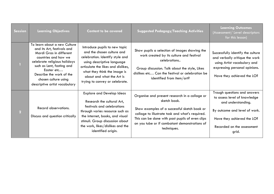| <b>Session</b> | <b>Learning Objectives</b>                                                                                                                                                                                                                                                    | <b>Content to be covered</b>                                                                                                                                                                                                                                      | <b>Suggested Pedagogy/Teaching Activities</b>                                                                                                                                                                                                                                       | <b>Learning Outcomes</b><br>(Assessment/ Level descriptors<br>for this lesson)                                                                                                           |
|----------------|-------------------------------------------------------------------------------------------------------------------------------------------------------------------------------------------------------------------------------------------------------------------------------|-------------------------------------------------------------------------------------------------------------------------------------------------------------------------------------------------------------------------------------------------------------------|-------------------------------------------------------------------------------------------------------------------------------------------------------------------------------------------------------------------------------------------------------------------------------------|------------------------------------------------------------------------------------------------------------------------------------------------------------------------------------------|
|                | To learn about a new Culture<br>and its Art, festivals and<br>Mardi Gras in different<br>countries and how we<br>celebrate religious holidays<br>such as Lent, fasting and<br>Easter etc<br>Describe the work of the<br>chosen culture using<br>descriptive artist vocabulary | Introduce pupils to new topic<br>and the chosen culture and<br>celebration. Identify style and<br>using descriptive language<br>articulate the likes and dislikes,<br>what they think the image is<br>about and what the Art is<br>trying to convey or celebrate. | Show pupils a selection of images showing the<br>work created by its culture and festival<br>celebrations<br>Group discussion. Talk about the style, Likes<br>dislikes etc Can the festival or celebration be<br>identified from item/art?                                          | Successfully identify the culture<br>and verbally critique the work<br>using Artist vocabulary and<br>expressing personal opinions.<br>Have they achieved the LO?                        |
| $\overline{2}$ | Record observations.<br>Discuss and question critically                                                                                                                                                                                                                       | <b>Explore and Develop Ideas</b><br>Research the cultural Art,<br>festivals and celebrations<br>through varies resource such as<br>the internet, books, and visual<br>stimuli. Group discussion about<br>the work, likes/dislikes and the<br>identified origin.   | Organise and present research in a collage or<br>sketch book.<br>Show examples of a successful sketch book or<br>collage to illustrate task and what's required.<br>This can be done with past pupils of even clips<br>on you tube or if combatant demonstrations of<br>techniques. | Trough questions and answers<br>to assess level of knowledge<br>and understanding.<br>By outcome and level of work.<br>Have they achieved the LO?<br>Recorded on the assessment<br>grid. |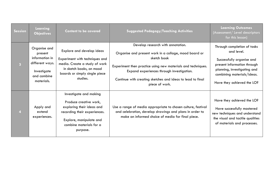| Session        | Learning<br><b>Objectives</b>                                                                            | <b>Content to be covered</b>                                                                                                                                                    | <b>Suggested Pedagogy/Teaching Activities</b>                                                                                                                                                                                                                                                          | <b>Learning Outcomes</b><br>(Assessment/ Level descriptors<br>for this lesson)                                                                                                                   |
|----------------|----------------------------------------------------------------------------------------------------------|---------------------------------------------------------------------------------------------------------------------------------------------------------------------------------|--------------------------------------------------------------------------------------------------------------------------------------------------------------------------------------------------------------------------------------------------------------------------------------------------------|--------------------------------------------------------------------------------------------------------------------------------------------------------------------------------------------------|
| $\overline{3}$ | Organise and<br>present<br>information in<br>different ways.<br>Investigate<br>and combine<br>materials. | Explore and develop ideas<br>Experiment with techniques and<br>media. Create a study of work<br>in sketch books, on mood<br>boards or simply single piece<br>studies.           | Develop research with annotation.<br>Organise and present work in a collage, mood board or<br>sketch book<br>Experiment then practice using new materials and techniques.<br>Expand experiences through investigation.<br>Continue with creating sketches and ideas to lead to final<br>piece of work. | Through completion of tasks<br>and level.<br>Successfully organise and<br>present information through<br>planning, investigating and<br>combining materials/ideas.<br>Have they achieved the LO? |
| $\overline{4}$ | Apply and<br>extend<br>experiences.                                                                      | Investigate and making<br>Produce creative work,<br>exploring their ideas and<br>recording their experiences.<br>Explore, manipulate and<br>combine materials for a<br>purpose. | Use a range of media appropriate to chosen culture, festival<br>and celebration, develop drawings and plans in order to<br>make an informed choice of media for final piece.                                                                                                                           | Have they achieved the LO?<br>Have successfully mastered<br>new techniques and understand<br>the visual and tactile qualities<br>of materials and processes.                                     |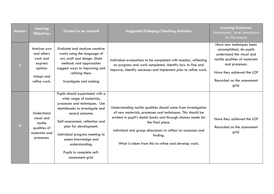| <b>Session</b> | Learning<br><b>Objectives</b>                                                            | <b>Content to be covered</b>                                                                                                                                                                                                                                                                                                              | <b>Suggested Pedagogy/Teaching Activities</b>                                                                                                                                                                                                                                                                                                       | <b>Learning Outcomes</b><br>(Assessment/ Level descriptors<br>for this lesson)                                                                                                                            |
|----------------|------------------------------------------------------------------------------------------|-------------------------------------------------------------------------------------------------------------------------------------------------------------------------------------------------------------------------------------------------------------------------------------------------------------------------------------------|-----------------------------------------------------------------------------------------------------------------------------------------------------------------------------------------------------------------------------------------------------------------------------------------------------------------------------------------------------|-----------------------------------------------------------------------------------------------------------------------------------------------------------------------------------------------------------|
| 5 <sub>1</sub> | Analyse own<br>and others<br>work and<br>express<br>opinion<br>Adapt and<br>refine work. | Evaluate and analyse creative<br>works using the language of<br>art, craft and design. State<br>methods and approaches<br>suggest ways to improving and<br>refining them.<br>Investigate and making                                                                                                                                       | Individual evaluations to be completed with teacher, reflecting<br>on progress and work completed. Identify how to fine and<br>improve, identify successes and implement plan to refine work.                                                                                                                                                       | Have new techniques been<br>accomplished, do pupils<br>understand the visual and<br>tactile qualities of materials<br>and processes.<br>Have they achieved the LO?<br>Recorded on the assessment<br>grid. |
| $\overline{6}$ | Understand<br>visual and<br>tactile<br>qualities of<br>materials and<br>processes.       | Pupils should experiment with a<br>wide range of materials,<br>processes and techniques. Use<br>sketchbooks to investigate and<br>record outcome.<br>Self-assessment, reflection and<br>plan for development.<br>Individual progress meeting to<br>assess knowledge and<br>understanding.<br>Pupils to complete self-<br>assessment grid. | Understanding tactile qualities should come from investigation<br>of new materials, processes and techniques. This should be<br>evident in pupil's sketch books and through choices made for<br>the final piece.<br>Individual and group discussions to reflect on successes and<br>finding.<br>What is taken from this to refine and develop work. | Have they achieved the LO?<br>Recorded on the assessment<br>grid.                                                                                                                                         |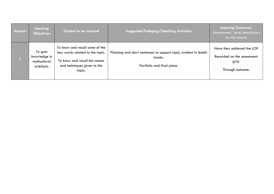| Session | Learning<br><b>Objectives</b>                          | <b>Content to be covered</b>                                                                                                                | <b>Suggested Pedagogy/Teaching Activities</b>                                                            | <b>Learning Outcomes</b><br>(Assessment/ Level descriptors<br>for this lesson)        |
|---------|--------------------------------------------------------|---------------------------------------------------------------------------------------------------------------------------------------------|----------------------------------------------------------------------------------------------------------|---------------------------------------------------------------------------------------|
|         | To gain<br>knowledge in<br>multicultural<br>artefacts. | To know and recall some of the<br>key words related to the topic.<br>To know and recall the names<br>and techniques given to this<br>topic. | Planning and short sentences to support topic, evident in sketch<br>books.<br>Portfolio and final piece. | Have they achieved the LO?<br>Recorded on the assessment<br>grid.<br>Through outcome. |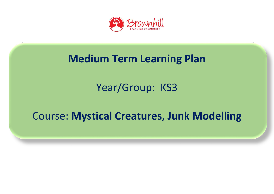

## **Medium Term Learning Plan**

## Year/Group: KS3

## Course: **Mystical Creatures, Junk Modelling**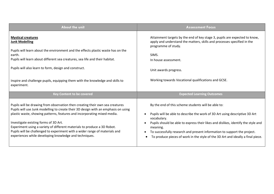| About the unit                                                                                                                                                                                                                                                                                                                                                                                                                                                                                                | <b>Assessment Focus</b>                                                                                                                                                                                                                                                                                                                                                                                           |
|---------------------------------------------------------------------------------------------------------------------------------------------------------------------------------------------------------------------------------------------------------------------------------------------------------------------------------------------------------------------------------------------------------------------------------------------------------------------------------------------------------------|-------------------------------------------------------------------------------------------------------------------------------------------------------------------------------------------------------------------------------------------------------------------------------------------------------------------------------------------------------------------------------------------------------------------|
| <b>Mystical creatures</b><br><b>Junk Modelling</b><br>Pupils will learn about the environment and the effects plastic waste has on the<br>earth.<br>Pupils will learn about different sea creatures, sea life and their habitat.<br>Pupils will also learn to form, design and construct.<br>Inspire and challenge pupils, equipping them with the knowledge and skills to<br>experiment.                                                                                                                     | Attainment targets by the end of key stage 3, pupils are expected to know,<br>apply and understand the matters, skills and processes specified in the<br>programme of study.<br>SIMS.<br>In house assessment.<br>Unit awards progress.<br>Working towards Vocational qualifications and GCSE.                                                                                                                     |
| <b>Key Content to be covered</b>                                                                                                                                                                                                                                                                                                                                                                                                                                                                              | <b>Expected Learning Outcomes</b>                                                                                                                                                                                                                                                                                                                                                                                 |
| Pupils will be drawing from observation then creating their own sea creatures<br>Pupils will use Junk modelling to create their 3D design with an emphasis on using<br>plastic waste, showing patterns, features and incorporating mixed media.<br>Investigate existing forms of 3D Art.<br>Experiment using a variety of different materials to produce a 3D Robot.<br>Pupils will be challenged to experiment with a wider range of materials and<br>experiences while developing knowledge and techniques. | By the end of this scheme students will be able to:<br>Pupils will be able to describe the work of 3D Art using descriptive 3D Art<br>vocabulary.<br>Pupils should be able to express their likes and dislikes, identify the style and<br>meaning.<br>To successfully research and present information to support the project.<br>To produce pieces of work in the style of the 3D Art and ideally a final piece. |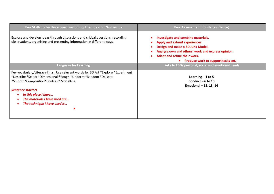| Key Skills to be developed including Literacy and Numeracy                                                                                                                                                                                                                                                           | <b>Key Assessment Points (evidence)</b>                                                                                                                                                                                                         |
|----------------------------------------------------------------------------------------------------------------------------------------------------------------------------------------------------------------------------------------------------------------------------------------------------------------------|-------------------------------------------------------------------------------------------------------------------------------------------------------------------------------------------------------------------------------------------------|
| Explore and develop ideas through discussions and critical questions, recording<br>observations, organising and presenting information in different ways.                                                                                                                                                            | Investigate and combine materials.<br><b>Apply and extend experiences</b><br>Design and make a 3D Junk Model.<br>Analyse own and others' work and express opinion.<br>Adapt and refine their work.<br><b>Produce work to support tasks set.</b> |
| <b>Language for Learning</b>                                                                                                                                                                                                                                                                                         | Links to EBD/ personal, social and emotional needs                                                                                                                                                                                              |
| Key vocabulary/Literacy links. Use relevant words for 3D Art *Explore *Experiment<br>*Describe *Select *Dimensional *Rough *Uniform *Random *Delicate<br>*Smooth*Composition*Contrast*Modelling<br><b>Sentence starters</b><br>In this piece I have<br>The materials I have used are<br>The technique I have used is | Learning $-1$ to 5<br>Conduct $-6$ to 10<br>Emotional - 12, 13, 14                                                                                                                                                                              |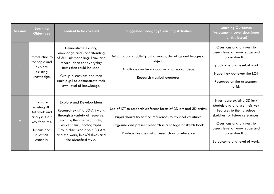| <b>Session</b> | Learning<br><b>Objectives</b>                                                                                     | <b>Content to be covered</b>                                                                                                                                                                                                                                       | <b>Suggested Pedagogy/Teaching Activities</b>                                                                                                                                                                                                    | <b>Learning Outcomes</b><br>(Assessment/ Level descriptors<br>for this lesson)                                                                                                                                                              |
|----------------|-------------------------------------------------------------------------------------------------------------------|--------------------------------------------------------------------------------------------------------------------------------------------------------------------------------------------------------------------------------------------------------------------|--------------------------------------------------------------------------------------------------------------------------------------------------------------------------------------------------------------------------------------------------|---------------------------------------------------------------------------------------------------------------------------------------------------------------------------------------------------------------------------------------------|
|                | Introduction to<br>the topic and<br>explore<br>existing<br>knowledge.                                             | Demonstrate existing<br>knowledge and understanding<br>of 3D junk modelling. Think and<br>record ideas for everyday<br>items that could be used.<br>Group discussions and then<br>each pupil to demonstrate their<br>own level of knowledge.                       | Mind mapping activity using words, drawings and images of<br>objects.<br>A collage can be a good way to record ideas.<br>Research mystical creatures.                                                                                            | Questions and answers to<br>assess level of knowledge and<br>understanding.<br>By outcome and level of work.<br>Have they achieved the LO?<br>Recorded on the assessment<br>grid.                                                           |
| $\overline{2}$ | Explore<br>existing 3D<br>Art work and<br>analyse their<br>key features.<br>Discuss and<br>question<br>critically | <b>Explore and Develop Ideas</b><br>Research existing 3D Art work<br>through a variety of resource,<br>such as; the internet, books,<br>visual stimuli, photographs.<br>Group discussion about 3D Art<br>and the work, likes/dislikes and<br>the identified style. | Use of ICT to research different forms of 3D art and 3D artists.<br>Pupils should try to find references to mystical creatures.<br>Organise and present research in a collage or sketch book.<br>Produce sketches using research as a reference. | Investigate existing 3D junk<br>Models and analyse their key<br>features to then produce<br>sketches for future references.<br>Questions and answers to<br>assess level of knowledge and<br>understanding.<br>By outcome and level of work. |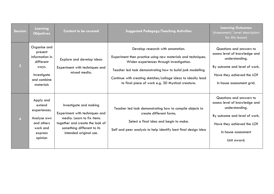| <b>Session</b>          | Learning<br><b>Objectives</b>                                                                              | <b>Content to be covered</b>                                                                                                                                                     | <b>Suggested Pedagogy/Teaching Activities</b>                                                                                                                                                                                                                                                                                     | <b>Learning Outcomes</b><br>(Assessment/ Level descriptors<br>for this lesson)                                                                                                   |
|-------------------------|------------------------------------------------------------------------------------------------------------|----------------------------------------------------------------------------------------------------------------------------------------------------------------------------------|-----------------------------------------------------------------------------------------------------------------------------------------------------------------------------------------------------------------------------------------------------------------------------------------------------------------------------------|----------------------------------------------------------------------------------------------------------------------------------------------------------------------------------|
| $\overline{\mathbf{3}}$ | Organise and<br>present<br>information in<br>different<br>ways.<br>Investigate<br>and combine<br>materials | Explore and develop ideas<br>Experiment with techniques and<br>mixed media.                                                                                                      | Develop research with annotation.<br>Experiment then practice using new materials and techniques.<br>Widen experiences through investigation.<br>Teacher led task demonstrating how to build junk modelling<br>Continue with creating sketches/collage ideas to ideally lead<br>to final piece of work e.g. 3D Mystical creature. | Questions and answers to<br>assess level of knowledge and<br>understanding.<br>By outcome and level of work.<br>Have they achieved the LO?<br>In house assessment grid.          |
|                         | Apply and<br>extend<br>experiences.<br>Analyse own<br>and others<br>work and<br>express<br>opinion         | Investigate and making<br>Experiment with techniques and<br>media. Learn to fix items<br>together and create the look of<br>something different to its<br>intended original use. | Teacher led task demonstrating how to compile objects to<br>create different forms.<br>Select a final idea and begin to make.<br>Self and peer analysis to help identify best final design idea                                                                                                                                   | Questions and answers to<br>assess level of knowledge and<br>understanding.<br>By outcome and level of work.<br>Have they achieved the LO?<br>In house assessment<br>Unit award. |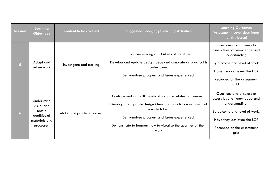| <b>Session</b>  | Learning<br><b>Objectives</b>                                                      | <b>Content to be covered</b> | <b>Suggested Pedagogy/Teaching Activities</b>                                                                                                                                                                                                                            | <b>Learning Outcomes</b><br>(Assessment/ Level descriptors<br>for this lesson)                                                                                                    |
|-----------------|------------------------------------------------------------------------------------|------------------------------|--------------------------------------------------------------------------------------------------------------------------------------------------------------------------------------------------------------------------------------------------------------------------|-----------------------------------------------------------------------------------------------------------------------------------------------------------------------------------|
| 5 <sub>5</sub>  | Adapt and<br>refine work                                                           | Investigate and making       | Continue making a 3D Mystical creature<br>Develop and update design ideas and annotate as practical is<br>undertaken.<br>Self-analyse progress and issues experienced.                                                                                                   | Questions and answers to<br>assess level of knowledge and<br>understanding.<br>By outcome and level of work.<br>Have they achieved the LO?<br>Recorded on the assessment<br>grid. |
| $6\overline{6}$ | Understand<br>visual and<br>tactile<br>qualities of<br>materials and<br>processes. | Making of practical pieces.  | Continue making a 3D mystical creature related to research.<br>Develop and update design ideas and annotation as practical<br>is undertaken.<br>Self-analyse progress and issues experienced.<br>Demonstrate to learners how to visualise the qualities of their<br>work | Questions and answers to<br>assess level of knowledge and<br>understanding.<br>By outcome and level of work.<br>Have they achieved the LO?<br>Recorded on the assessment<br>grid  |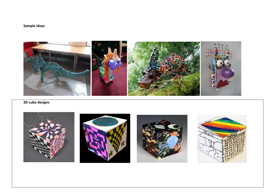#### **Sample ideas**



 **3D cube designs**